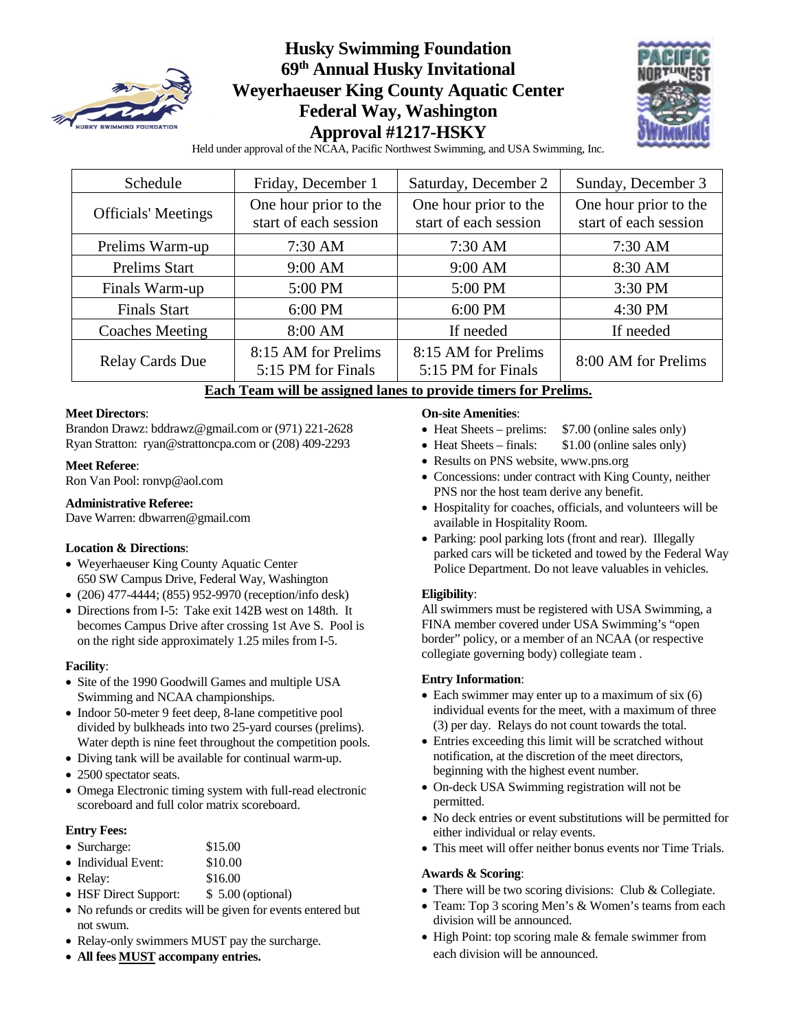

## **Husky Swimming Foundation 69th Annual Husky Invitational Weyerhaeuser King County Aquatic Center Federal Way, Washington Approval #1217-HSKY**



Held under approval of the NCAA, Pacific Northwest Swimming, and USA Swimming, Inc.

| Schedule                   | Friday, December 1                             |                                                | Sunday, December 3                             |
|----------------------------|------------------------------------------------|------------------------------------------------|------------------------------------------------|
| <b>Officials' Meetings</b> | One hour prior to the<br>start of each session | One hour prior to the<br>start of each session | One hour prior to the<br>start of each session |
| Prelims Warm-up            | 7:30 AM                                        | $7:30$ AM                                      | $7:30$ AM                                      |
| <b>Prelims Start</b>       | $9:00$ AM                                      | $9:00$ AM                                      | 8:30 AM                                        |
| Finals Warm-up             | 5:00 PM                                        | 5:00 PM                                        | 3:30 PM                                        |
| <b>Finals Start</b>        | 6:00 PM                                        | 6:00 PM                                        | 4:30 PM                                        |
| <b>Coaches Meeting</b>     | 8:00 AM                                        | If needed                                      | If needed                                      |
| <b>Relay Cards Due</b>     | 8:15 AM for Prelims<br>5:15 PM for Finals      | 8:15 AM for Prelims<br>5:15 PM for Finals      | 8:00 AM for Prelims                            |

### **Each Team will be assigned lanes to provide timers for Prelims.**

#### **Meet Directors**:

Brandon Drawz[: bddrawz@gmail.com](mailto:bddrawz@gmail.com) or (971) 221-2628 Ryan Stratton: [ryan@strattoncpa.com](mailto:ryan@strattoncpa.com) or (208) 409-2293

#### **Meet Referee**:

Ron Van Pool[: ronvp@aol.com](mailto:ronvp@aol.com)

#### **Administrative Referee:**

Dave Warren[: dbwarren@gmail.com](mailto:dbwarren@gmail.com)

#### **Location & Directions**:

- Weyerhaeuser King County Aquatic Center 650 SW Campus Drive, Federal Way, Washington
- (206) 477-4444; (855) 952-9970 (reception/info desk)
- Directions from I-5: Take exit 142B west on 148th. It becomes Campus Drive after crossing 1st Ave S. Pool is on the right side approximately 1.25 miles from I-5.

#### **Facility**:

- Site of the 1990 Goodwill Games and multiple USA Swimming and NCAA championships.
- Indoor 50-meter 9 feet deep, 8-lane competitive pool divided by bulkheads into two 25-yard courses (prelims). Water depth is nine feet throughout the competition pools.
- Diving tank will be available for continual warm-up.
- 2500 spectator seats.
- Omega Electronic timing system with full-read electronic scoreboard and full color matrix scoreboard.

#### **Entry Fees:**

|  | • Surcharge: | \$15.00 |
|--|--------------|---------|
|--|--------------|---------|

- Individual Event: \$10.00
- Relay: \$16.00
- HSF Direct Support: \$ 5.00 (optional)
- No refunds or credits will be given for events entered but not swum.
- Relay-only swimmers MUST pay the surcharge.
- **All fees MUST accompany entries.**

#### **On-site Amenities**:

- Heat Sheets prelims: \$7.00 (online sales only)
- Heat Sheets finals: \$1.00 (online sales only)
- Results on PNS website, www.pns.org
- Concessions: under contract with King County, neither PNS nor the host team derive any benefit.
- Hospitality for coaches, officials, and volunteers will be available in Hospitality Room.
- Parking: pool parking lots (front and rear). Illegally parked cars will be ticketed and towed by the Federal Way Police Department. Do not leave valuables in vehicles.

#### **Eligibility**:

All swimmers must be registered with USA Swimming, a FINA member covered under USA Swimming's "open border" policy, or a member of an NCAA (or respective collegiate governing body) collegiate team .

#### **Entry Information**:

- Each swimmer may enter up to a maximum of six (6) individual events for the meet, with a maximum of three (3) per day. Relays do not count towards the total.
- Entries exceeding this limit will be scratched without notification, at the discretion of the meet directors, beginning with the highest event number.
- On-deck USA Swimming registration will not be permitted.
- No deck entries or event substitutions will be permitted for either individual or relay events.
- This meet will offer neither bonus events nor Time Trials.

#### **Awards & Scoring**:

- There will be two scoring divisions: Club & Collegiate.
- Team: Top 3 scoring Men's & Women's teams from each division will be announced.
- High Point: top scoring male & female swimmer from each division will be announced.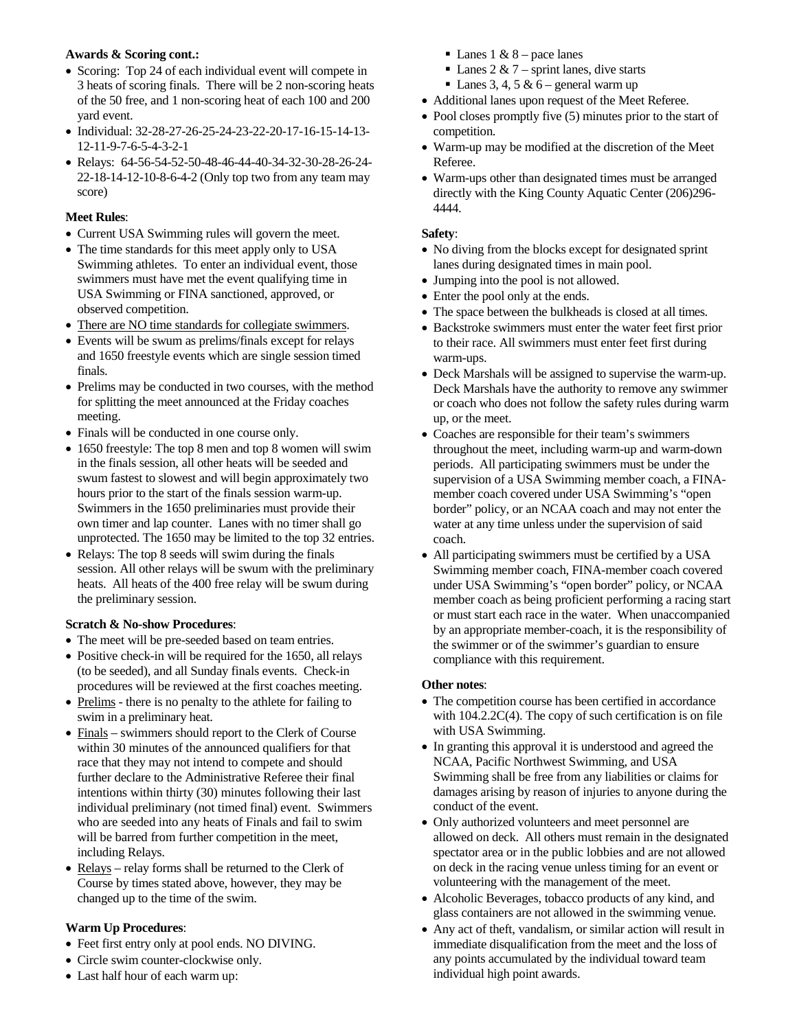#### **Awards & Scoring cont.:**

- Scoring: Top 24 of each individual event will compete in 3 heats of scoring finals. There will be 2 non-scoring heats of the 50 free, and 1 non-scoring heat of each 100 and 200 yard event.
- Individual: 32-28-27-26-25-24-23-22-20-17-16-15-14-13- 12-11-9-7-6-5-4-3-2-1
- Relays: 64-56-54-52-50-48-46-44-40-34-32-30-28-26-24- 22-18-14-12-10-8-6-4-2 (Only top two from any team may score)

### **Meet Rules**:

- Current USA Swimming rules will govern the meet.
- The time standards for this meet apply only to USA Swimming athletes. To enter an individual event, those swimmers must have met the event qualifying time in USA Swimming or FINA sanctioned, approved, or observed competition.
- There are NO time standards for collegiate swimmers.
- Events will be swum as prelims/finals except for relays and 1650 freestyle events which are single session timed finals.
- Prelims may be conducted in two courses, with the method for splitting the meet announced at the Friday coaches meeting.
- Finals will be conducted in one course only.
- 1650 freestyle: The top 8 men and top 8 women will swim in the finals session, all other heats will be seeded and swum fastest to slowest and will begin approximately two hours prior to the start of the finals session warm-up. Swimmers in the 1650 preliminaries must provide their own timer and lap counter. Lanes with no timer shall go unprotected. The 1650 may be limited to the top 32 entries.
- Relays: The top 8 seeds will swim during the finals session. All other relays will be swum with the preliminary heats. All heats of the 400 free relay will be swum during the preliminary session.

### **Scratch & No-show Procedures**:

- The meet will be pre-seeded based on team entries.
- Positive check-in will be required for the 1650, all relays (to be seeded), and all Sunday finals events. Check-in procedures will be reviewed at the first coaches meeting.
- Prelims there is no penalty to the athlete for failing to swim in a preliminary heat.
- Finals swimmers should report to the Clerk of Course within 30 minutes of the announced qualifiers for that race that they may not intend to compete and should further declare to the Administrative Referee their final intentions within thirty (30) minutes following their last individual preliminary (not timed final) event. Swimmers who are seeded into any heats of Finals and fail to swim will be barred from further competition in the meet, including Relays.
- Relays relay forms shall be returned to the Clerk of Course by times stated above, however, they may be changed up to the time of the swim.

### **Warm Up Procedures**:

- Feet first entry only at pool ends. NO DIVING.
- Circle swim counter-clockwise only.
- Last half hour of each warm up:
- Lanes 1 &  $8$  pace lanes
- Lanes  $2 \& 7$  sprint lanes, dive starts
- $\blacksquare$  Lanes 3, 4, 5 & 6 general warm up
- Additional lanes upon request of the Meet Referee.
- Pool closes promptly five (5) minutes prior to the start of competition.
- Warm-up may be modified at the discretion of the Meet Referee.
- Warm-ups other than designated times must be arranged directly with the King County Aquatic Center (206)296- 4444.

#### **Safety**:

- No diving from the blocks except for designated sprint lanes during designated times in main pool.
- Jumping into the pool is not allowed.
- Enter the pool only at the ends.
- The space between the bulkheads is closed at all times.
- Backstroke swimmers must enter the water feet first prior to their race. All swimmers must enter feet first during warm-ups.
- Deck Marshals will be assigned to supervise the warm-up. Deck Marshals have the authority to remove any swimmer or coach who does not follow the safety rules during warm up, or the meet.
- Coaches are responsible for their team's swimmers throughout the meet, including warm-up and warm-down periods. All participating swimmers must be under the supervision of a USA Swimming member coach, a FINAmember coach covered under USA Swimming's "open border" policy, or an NCAA coach and may not enter the water at any time unless under the supervision of said coach.
- All participating swimmers must be certified by a USA Swimming member coach, FINA-member coach covered under USA Swimming's "open border" policy, or NCAA member coach as being proficient performing a racing start or must start each race in the water. When unaccompanied by an appropriate member-coach, it is the responsibility of the swimmer or of the swimmer's guardian to ensure compliance with this requirement.

#### **Other notes**:

- The competition course has been certified in accordance with 104.2.2C(4). The copy of such certification is on file with USA Swimming.
- In granting this approval it is understood and agreed the NCAA, Pacific Northwest Swimming, and USA Swimming shall be free from any liabilities or claims for damages arising by reason of injuries to anyone during the conduct of the event.
- Only authorized volunteers and meet personnel are allowed on deck. All others must remain in the designated spectator area or in the public lobbies and are not allowed on deck in the racing venue unless timing for an event or volunteering with the management of the meet.
- Alcoholic Beverages, tobacco products of any kind, and glass containers are not allowed in the swimming venue.
- Any act of theft, vandalism, or similar action will result in immediate disqualification from the meet and the loss of any points accumulated by the individual toward team individual high point awards.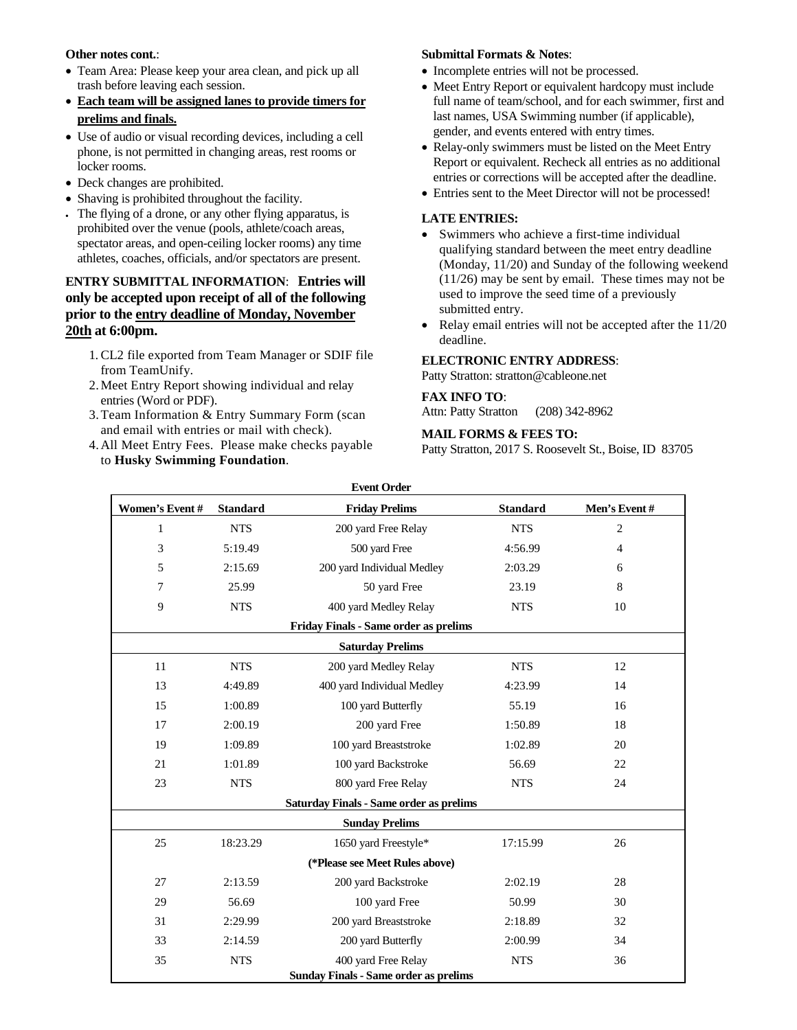#### **Other notes cont.**:

- Team Area: Please keep your area clean, and pick up all trash before leaving each session.
- **Each team will be assigned lanes to provide timers for prelims and finals.**
- Use of audio or visual recording devices, including a cell phone, is not permitted in changing areas, rest rooms or locker rooms.
- Deck changes are prohibited.
- Shaving is prohibited throughout the facility.
- The flying of a drone, or any other flying apparatus, is prohibited over the venue (pools, athlete/coach areas, spectator areas, and open-ceiling locker rooms) any time athletes, coaches, officials, and/or spectators are present.

#### **ENTRY SUBMITTAL INFORMATION**: **Entries will only be accepted upon receipt of all of the following prior to the entry deadline of Monday, November 20th at 6:00pm.**

- 1. CL2 file exported from Team Manager or SDIF file from TeamUnify.
- 2.Meet Entry Report showing individual and relay entries (Word or PDF).
- 3.Team Information & Entry Summary Form (scan and email with entries or mail with check).
- 4.All Meet Entry Fees. Please make checks payable to **Husky Swimming Foundation**.

#### **Submittal Formats & Notes**:

- Incomplete entries will not be processed.
- Meet Entry Report or equivalent hardcopy must include full name of team/school, and for each swimmer, first and last names, USA Swimming number (if applicable), gender, and events entered with entry times.
- Relay-only swimmers must be listed on the Meet Entry Report or equivalent. Recheck all entries as no additional entries or corrections will be accepted after the deadline.
- Entries sent to the Meet Director will not be processed!

#### **LATE ENTRIES:**

- Swimmers who achieve a first-time individual qualifying standard between the meet entry deadline (Monday, 11/20) and Sunday of the following weekend (11/26) may be sent by email. These times may not be used to improve the seed time of a previously submitted entry.
- Relay email entries will not be accepted after the 11/20 deadline.

#### **ELECTRONIC ENTRY ADDRESS**:

Patty Stratton: [stratton@cableone.net](mailto:stratton@cableone.net)

#### **FAX INFO TO**:

Attn: Patty Stratton (208) 342-8962

#### **MAIL FORMS & FEES TO:**

Patty Stratton, 2017 S. Roosevelt St., Boise, ID 83705

| <b>Event Order</b>                           |                                   |                                                |                 |                          |  |  |  |  |
|----------------------------------------------|-----------------------------------|------------------------------------------------|-----------------|--------------------------|--|--|--|--|
| Women's Event#                               | <b>Standard</b>                   | <b>Friday Prelims</b>                          | <b>Standard</b> | Men's Event#             |  |  |  |  |
| $\mathbf{1}$                                 | <b>NTS</b>                        | 200 yard Free Relay                            | <b>NTS</b>      | $\overline{c}$           |  |  |  |  |
| 3                                            | 5:19.49                           | 500 yard Free                                  | 4:56.99         | $\overline{\mathcal{A}}$ |  |  |  |  |
| 5                                            | 2:15.69                           | 200 yard Individual Medley                     | 2:03.29         | 6                        |  |  |  |  |
| 7                                            | 25.99                             | 50 yard Free                                   | 23.19           | 8                        |  |  |  |  |
| 9                                            | <b>NTS</b>                        | 400 yard Medley Relay                          | <b>NTS</b>      | 10                       |  |  |  |  |
|                                              |                                   | <b>Friday Finals - Same order as prelims</b>   |                 |                          |  |  |  |  |
|                                              |                                   | <b>Saturday Prelims</b>                        |                 |                          |  |  |  |  |
| 11                                           | <b>NTS</b>                        | 200 yard Medley Relay                          | <b>NTS</b>      | 12                       |  |  |  |  |
| 13                                           | 4:49.89                           | 400 yard Individual Medley                     | 4:23.99         | 14                       |  |  |  |  |
| 15                                           | 1:00.89                           | 100 yard Butterfly                             | 55.19           | 16                       |  |  |  |  |
| 17                                           | 2:00.19                           | 200 yard Free                                  | 1:50.89         | 18                       |  |  |  |  |
| 19                                           | 1:09.89                           | 100 yard Breaststroke                          | 1:02.89         | 20                       |  |  |  |  |
| 21                                           | 1:01.89                           | 100 yard Backstroke                            | 56.69           | 22                       |  |  |  |  |
| 23                                           | 800 yard Free Relay<br><b>NTS</b> |                                                | <b>NTS</b>      | 24                       |  |  |  |  |
|                                              |                                   | <b>Saturday Finals - Same order as prelims</b> |                 |                          |  |  |  |  |
|                                              |                                   | <b>Sunday Prelims</b>                          |                 |                          |  |  |  |  |
| 25                                           | 18:23.29                          | 1650 yard Freestyle*                           | 17:15.99        | 26                       |  |  |  |  |
|                                              |                                   | (*Please see Meet Rules above)                 |                 |                          |  |  |  |  |
| 27                                           | 2:13.59                           | 200 yard Backstroke                            | 2:02.19         | 28                       |  |  |  |  |
| 29                                           | 56.69                             | 100 yard Free                                  | 50.99           | 30                       |  |  |  |  |
| 31                                           | 2:29.99                           | 200 yard Breaststroke                          | 2:18.89         | 32                       |  |  |  |  |
| 33                                           | 2:14.59                           | 200 yard Butterfly                             | 2:00.99         | 34                       |  |  |  |  |
| 35                                           | <b>NTS</b>                        | 400 yard Free Relay                            | <b>NTS</b>      | 36                       |  |  |  |  |
| <b>Sunday Finals - Same order as prelims</b> |                                   |                                                |                 |                          |  |  |  |  |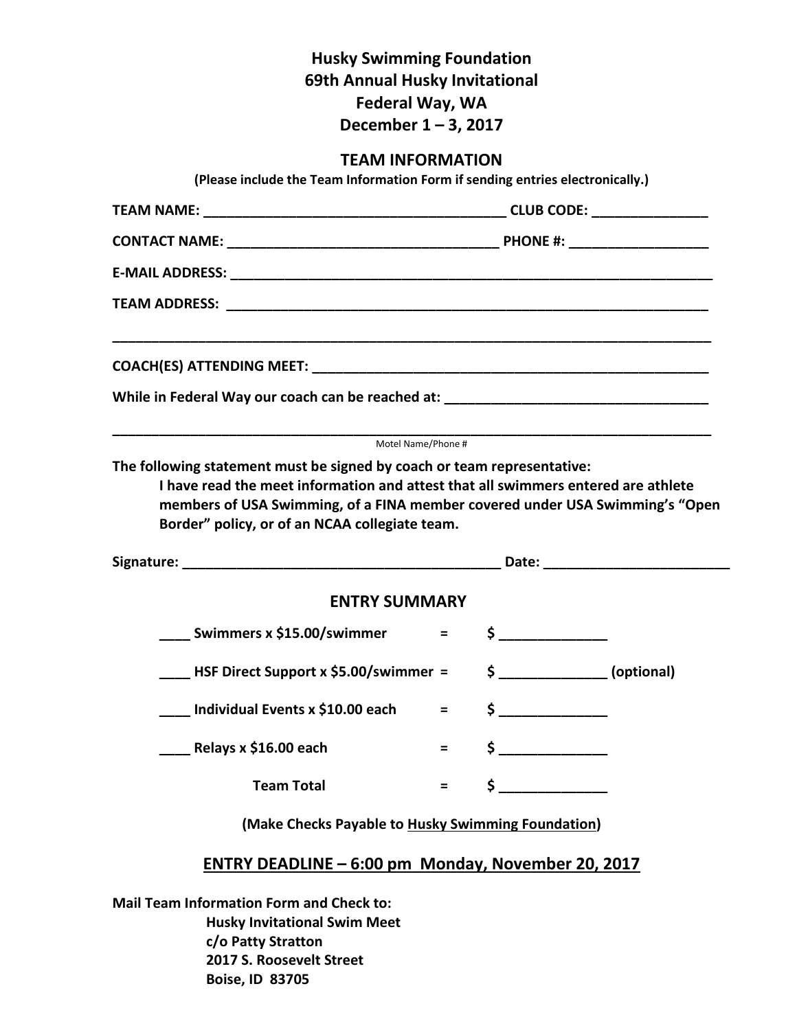## **Husky Swimming Foundation 69th Annual Husky Invitational Federal Way, WA December 1 – 3, 2017**

# **TEAM INFORMATION**

| <b>TEAM INFORMATION</b><br>(Please include the Team Information Form if sending entries electronically.)                                                                                                            |         |    |                |  |
|---------------------------------------------------------------------------------------------------------------------------------------------------------------------------------------------------------------------|---------|----|----------------|--|
|                                                                                                                                                                                                                     |         |    |                |  |
|                                                                                                                                                                                                                     |         |    |                |  |
|                                                                                                                                                                                                                     |         |    |                |  |
|                                                                                                                                                                                                                     |         |    |                |  |
|                                                                                                                                                                                                                     |         |    |                |  |
| While in Federal Way our coach can be reached at: ______________________________                                                                                                                                    |         |    |                |  |
| I have read the meet information and attest that all swimmers entered are athlete<br>members of USA Swimming, of a FINA member covered under USA Swimming's "Open<br>Border" policy, or of an NCAA collegiate team. |         |    |                |  |
| <b>ENTRY SUMMARY</b>                                                                                                                                                                                                |         |    |                |  |
|                                                                                                                                                                                                                     |         |    | $\sim$         |  |
| <b>EXECUTE:</b> HSF Direct Support x \$5.00/swimmer =                                                                                                                                                               |         |    | $$$ (optional) |  |
| Individual Events x \$10.00 each                                                                                                                                                                                    | $=$ $-$ |    | $\zeta$        |  |
| Relays x \$16.00 each                                                                                                                                                                                               |         |    |                |  |
| <b>Team Total</b>                                                                                                                                                                                                   | Ξ       | \$ |                |  |
| (Make Checks Payable to Husky Swimming Foundation)                                                                                                                                                                  |         |    |                |  |

## **ENTRY DEADLINE – 6:00 pm Monday, November 20, 2017**

**Mail Team Information Form and Check to: Husky Invitational Swim Meet c/o Patty Stratton 2017 S. Roosevelt Street Boise, ID 83705**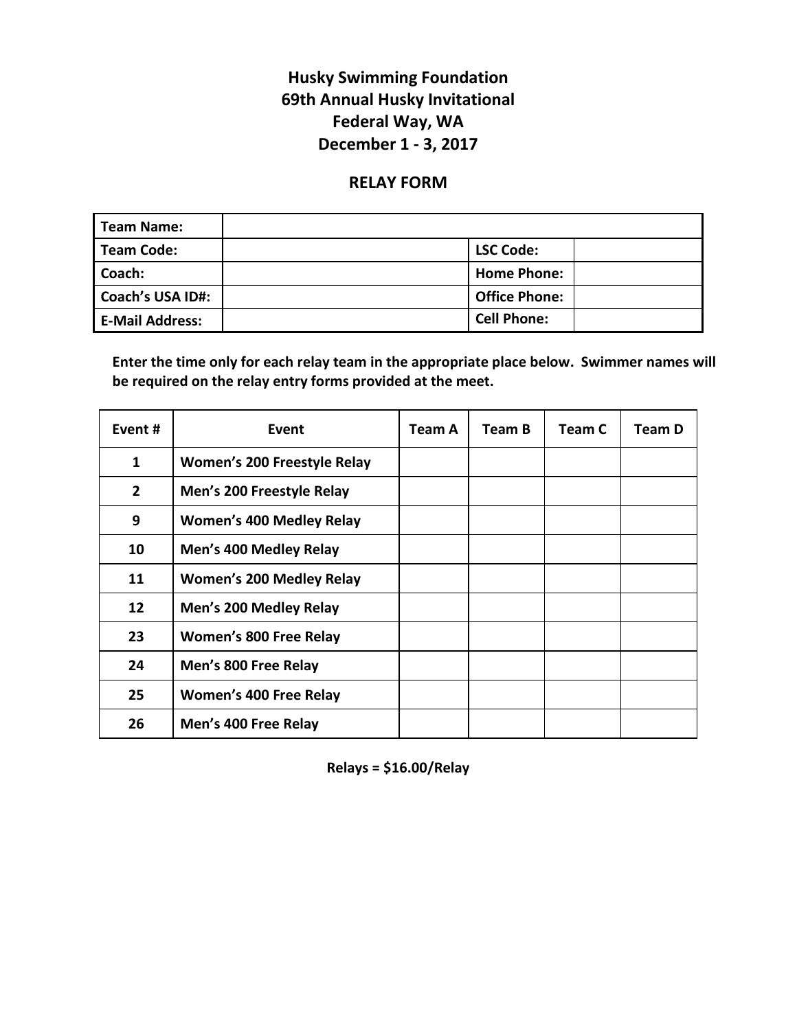# **Husky Swimming Foundation 69th Annual Husky Invitational Federal Way, WA December 1 - 3, 2017**

## **RELAY FORM**

| <b>Team Name:</b>       |                      |
|-------------------------|----------------------|
| <b>Team Code:</b>       | <b>LSC Code:</b>     |
| Coach:                  | <b>Home Phone:</b>   |
| <b>Coach's USA ID#:</b> | <b>Office Phone:</b> |
| <b>E-Mail Address:</b>  | <b>Cell Phone:</b>   |

**Enter the time only for each relay team in the appropriate place below. Swimmer names will be required on the relay entry forms provided at the meet.**

| Event #        | Event                           | Team A | Team B | Team C | <b>Team D</b> |
|----------------|---------------------------------|--------|--------|--------|---------------|
| 1              | Women's 200 Freestyle Relay     |        |        |        |               |
| $\overline{2}$ | Men's 200 Freestyle Relay       |        |        |        |               |
| 9              | <b>Women's 400 Medley Relay</b> |        |        |        |               |
| 10             | Men's 400 Medley Relay          |        |        |        |               |
| 11             | <b>Women's 200 Medley Relay</b> |        |        |        |               |
| 12             | Men's 200 Medley Relay          |        |        |        |               |
| 23             | Women's 800 Free Relay          |        |        |        |               |
| 24             | Men's 800 Free Relay            |        |        |        |               |
| 25             | Women's 400 Free Relay          |        |        |        |               |
| 26             | Men's 400 Free Relay            |        |        |        |               |

**Relays = \$16.00/Relay**